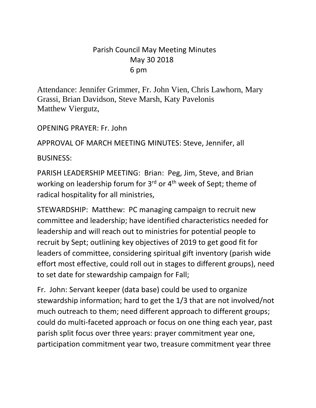## Parish Council May Meeting Minutes May 30 2018 6 pm

Attendance: Jennifer Grimmer, Fr. John Vien, Chris Lawhorn, Mary Grassi, Brian Davidson, Steve Marsh, Katy Pavelonis Matthew Viergutz,

OPENING PRAYER: Fr. John

APPROVAL OF MARCH MEETING MINUTES: Steve, Jennifer, all

BUSINESS:

PARISH LEADERSHIP MEETING: Brian: Peg, Jim, Steve, and Brian working on leadership forum for 3<sup>rd</sup> or 4<sup>th</sup> week of Sept; theme of radical hospitality for all ministries,

STEWARDSHIP: Matthew: PC managing campaign to recruit new committee and leadership; have identified characteristics needed for leadership and will reach out to ministries for potential people to recruit by Sept; outlining key objectives of 2019 to get good fit for leaders of committee, considering spiritual gift inventory (parish wide effort most effective, could roll out in stages to different groups), need to set date for stewardship campaign for Fall;

Fr. John: Servant keeper (data base) could be used to organize stewardship information; hard to get the 1/3 that are not involved/not much outreach to them; need different approach to different groups; could do multi-faceted approach or focus on one thing each year, past parish split focus over three years: prayer commitment year one, participation commitment year two, treasure commitment year three